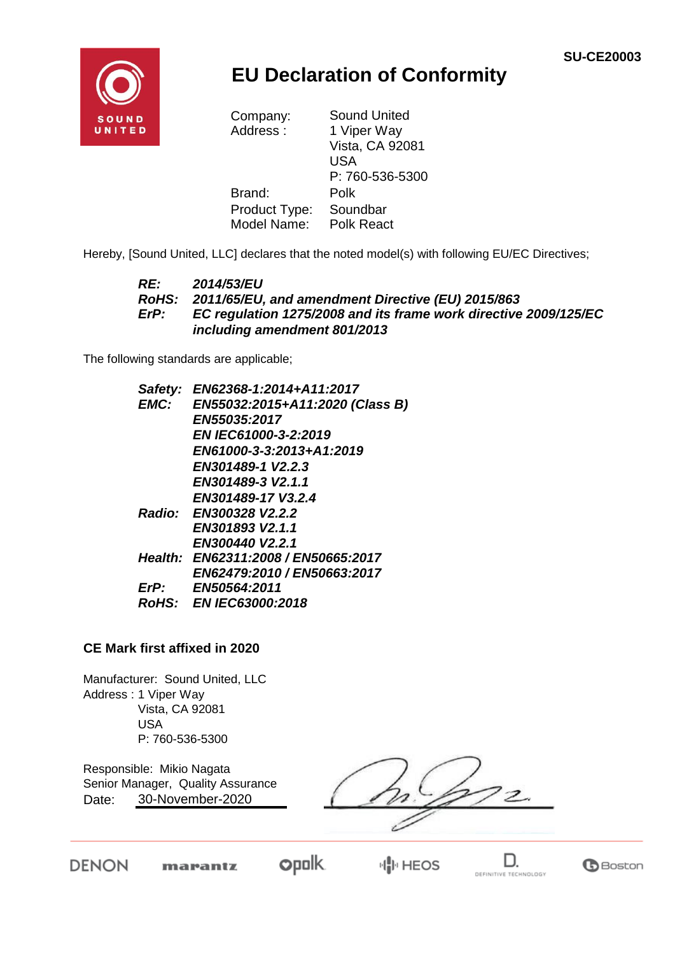

## **EU Declaration of Conformity**

| Company:      | <b>Sound United</b> |  |
|---------------|---------------------|--|
| Address:      | 1 Viper Way         |  |
|               | Vista, CA 92081     |  |
|               | USA                 |  |
|               | P: 760-536-5300     |  |
| Brand:        | Polk                |  |
| Product Type: | Soundbar            |  |
| Model Name:   | <b>Polk React</b>   |  |

Hereby, [Sound United, LLC] declares that the noted model(s) with following EU/EC Directives;

#### *RE: 2014/53/EU RoHS: 2011/65/EU, and amendment Directive (EU) 2015/863 ErP: EC regulation 1275/2008 and its frame work directive 2009/125/EC including amendment 801/2013*

The following standards are applicable;

| Safety: | EN62368-1:2014+A11:2017             |
|---------|-------------------------------------|
| EMC:    | EN55032:2015+A11:2020 (Class B)     |
|         | <b>EN55035:2017</b>                 |
|         | <b>EN IEC61000-3-2:2019</b>         |
|         | EN61000-3-3:2013+A1:2019            |
|         | EN301489-1 V2.2.3                   |
|         | EN301489-3 V2.1.1                   |
|         | EN301489-17 V3.2.4                  |
|         | Radio: EN300328 V2.2.2              |
|         | EN301893 V2.1.1                     |
|         | EN300440 V2.2.1                     |
|         | Health: EN62311:2008 / EN50665:2017 |
|         | EN62479:2010 / EN50663:2017         |
| ErP:    | EN50564:2011                        |
|         | RoHS: EN IEC63000:2018              |
|         |                                     |

#### **CE Mark first affixed in 2020**

Manufacturer: Sound United, LLC Address : 1 Viper Way Vista, CA 92081 USA P: 760-536-5300

Responsible: Mikio Nagata Date: Senior Manager, Quality Assurance 30-November-2020

 $\overline{c}$ 

**DENON** 

**opolk** marantz

**HIP HEOS**